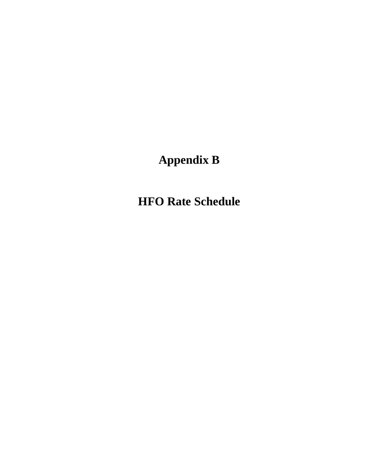# **Appendix B**

**HFO Rate Schedule**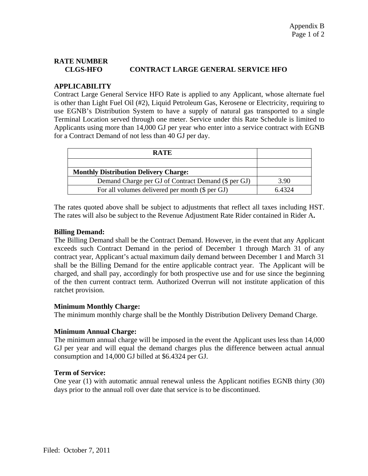# **RATE NUMBER CLGS-HFO CONTRACT LARGE GENERAL SERVICE HFO**

## **APPLICABILITY**

Contract Large General Service HFO Rate is applied to any Applicant, whose alternate fuel is other than Light Fuel Oil (#2), Liquid Petroleum Gas, Kerosene or Electricity, requiring to use EGNB's Distribution System to have a supply of natural gas transported to a single Terminal Location served through one meter. Service under this Rate Schedule is limited to Applicants using more than 14,000 GJ per year who enter into a service contract with EGNB for a Contract Demand of not less than 40 GJ per day.

| <b>RATE</b>                                         |        |
|-----------------------------------------------------|--------|
|                                                     |        |
| <b>Monthly Distribution Delivery Charge:</b>        |        |
| Demand Charge per GJ of Contract Demand (\$ per GJ) | 3.90   |
| For all volumes delivered per month (\$ per GJ)     | 6.4324 |

The rates quoted above shall be subject to adjustments that reflect all taxes including HST. The rates will also be subject to the Revenue Adjustment Rate Rider contained in Rider A**.** 

#### **Billing Demand:**

The Billing Demand shall be the Contract Demand. However, in the event that any Applicant exceeds such Contract Demand in the period of December 1 through March 31 of any contract year, Applicant's actual maximum daily demand between December 1 and March 31 shall be the Billing Demand for the entire applicable contract year. The Applicant will be charged, and shall pay, accordingly for both prospective use and for use since the beginning of the then current contract term. Authorized Overrun will not institute application of this ratchet provision.

#### **Minimum Monthly Charge:**

The minimum monthly charge shall be the Monthly Distribution Delivery Demand Charge.

### **Minimum Annual Charge:**

The minimum annual charge will be imposed in the event the Applicant uses less than 14,000 GJ per year and will equal the demand charges plus the difference between actual annual consumption and 14,000 GJ billed at \$6.4324 per GJ.

### **Term of Service:**

One year (1) with automatic annual renewal unless the Applicant notifies EGNB thirty (30) days prior to the annual roll over date that service is to be discontinued.